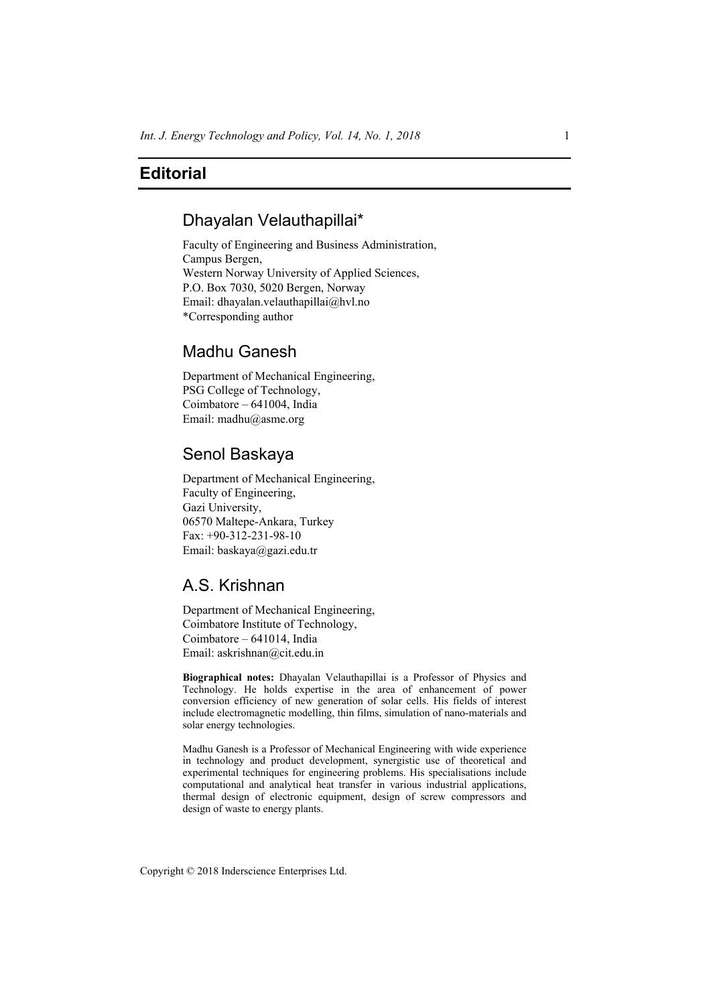# **Editorial**

### Dhayalan Velauthapillai\*

Faculty of Engineering and Business Administration, Campus Bergen, Western Norway University of Applied Sciences, P.O. Box 7030, 5020 Bergen, Norway Email: dhayalan.velauthapillai@hvl.no \*Corresponding author

# Madhu Ganesh

Department of Mechanical Engineering, PSG College of Technology, Coimbatore – 641004, India Email: madhu@asme.org

### Senol Baskaya

Department of Mechanical Engineering, Faculty of Engineering, Gazi University, 06570 Maltepe-Ankara, Turkey Fax: +90-312-231-98-10 Email: baskaya@gazi.edu.tr

# A.S. Krishnan

Department of Mechanical Engineering, Coimbatore Institute of Technology, Coimbatore – 641014, India Email: askrishnan@cit.edu.in

**Biographical notes:** Dhayalan Velauthapillai is a Professor of Physics and Technology. He holds expertise in the area of enhancement of power conversion efficiency of new generation of solar cells. His fields of interest include electromagnetic modelling, thin films, simulation of nano-materials and solar energy technologies.

Madhu Ganesh is a Professor of Mechanical Engineering with wide experience in technology and product development, synergistic use of theoretical and experimental techniques for engineering problems. His specialisations include computational and analytical heat transfer in various industrial applications, thermal design of electronic equipment, design of screw compressors and design of waste to energy plants.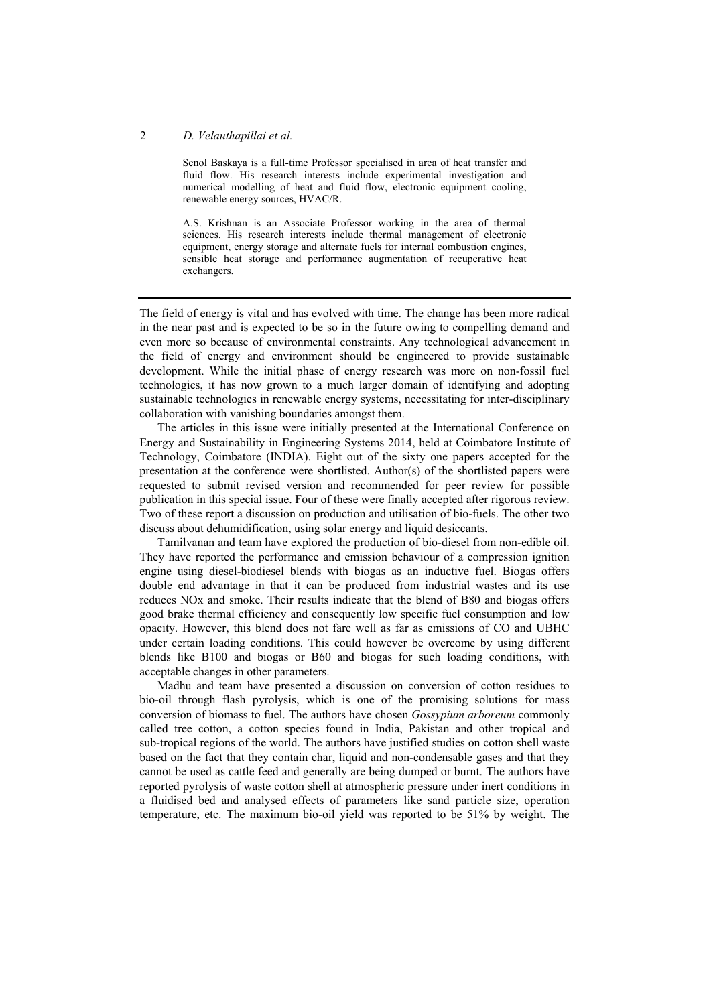#### 2 *D. Velauthapillai et al.*

Senol Baskaya is a full-time Professor specialised in area of heat transfer and fluid flow. His research interests include experimental investigation and numerical modelling of heat and fluid flow, electronic equipment cooling, renewable energy sources, HVAC/R.

A.S. Krishnan is an Associate Professor working in the area of thermal sciences. His research interests include thermal management of electronic equipment, energy storage and alternate fuels for internal combustion engines, sensible heat storage and performance augmentation of recuperative heat exchangers.

The field of energy is vital and has evolved with time. The change has been more radical in the near past and is expected to be so in the future owing to compelling demand and even more so because of environmental constraints. Any technological advancement in the field of energy and environment should be engineered to provide sustainable development. While the initial phase of energy research was more on non-fossil fuel technologies, it has now grown to a much larger domain of identifying and adopting sustainable technologies in renewable energy systems, necessitating for inter-disciplinary collaboration with vanishing boundaries amongst them.

The articles in this issue were initially presented at the International Conference on Energy and Sustainability in Engineering Systems 2014, held at Coimbatore Institute of Technology, Coimbatore (INDIA). Eight out of the sixty one papers accepted for the presentation at the conference were shortlisted. Author(s) of the shortlisted papers were requested to submit revised version and recommended for peer review for possible publication in this special issue. Four of these were finally accepted after rigorous review. Two of these report a discussion on production and utilisation of bio-fuels. The other two discuss about dehumidification, using solar energy and liquid desiccants.

Tamilvanan and team have explored the production of bio-diesel from non-edible oil. They have reported the performance and emission behaviour of a compression ignition engine using diesel-biodiesel blends with biogas as an inductive fuel. Biogas offers double end advantage in that it can be produced from industrial wastes and its use reduces NOx and smoke. Their results indicate that the blend of B80 and biogas offers good brake thermal efficiency and consequently low specific fuel consumption and low opacity. However, this blend does not fare well as far as emissions of CO and UBHC under certain loading conditions. This could however be overcome by using different blends like B100 and biogas or B60 and biogas for such loading conditions, with acceptable changes in other parameters.

Madhu and team have presented a discussion on conversion of cotton residues to bio-oil through flash pyrolysis, which is one of the promising solutions for mass conversion of biomass to fuel. The authors have chosen *Gossypium arboreum* commonly called tree cotton, a cotton species found in India, Pakistan and other tropical and sub-tropical regions of the world. The authors have justified studies on cotton shell waste based on the fact that they contain char, liquid and non-condensable gases and that they cannot be used as cattle feed and generally are being dumped or burnt. The authors have reported pyrolysis of waste cotton shell at atmospheric pressure under inert conditions in a fluidised bed and analysed effects of parameters like sand particle size, operation temperature, etc. The maximum bio-oil yield was reported to be 51% by weight. The